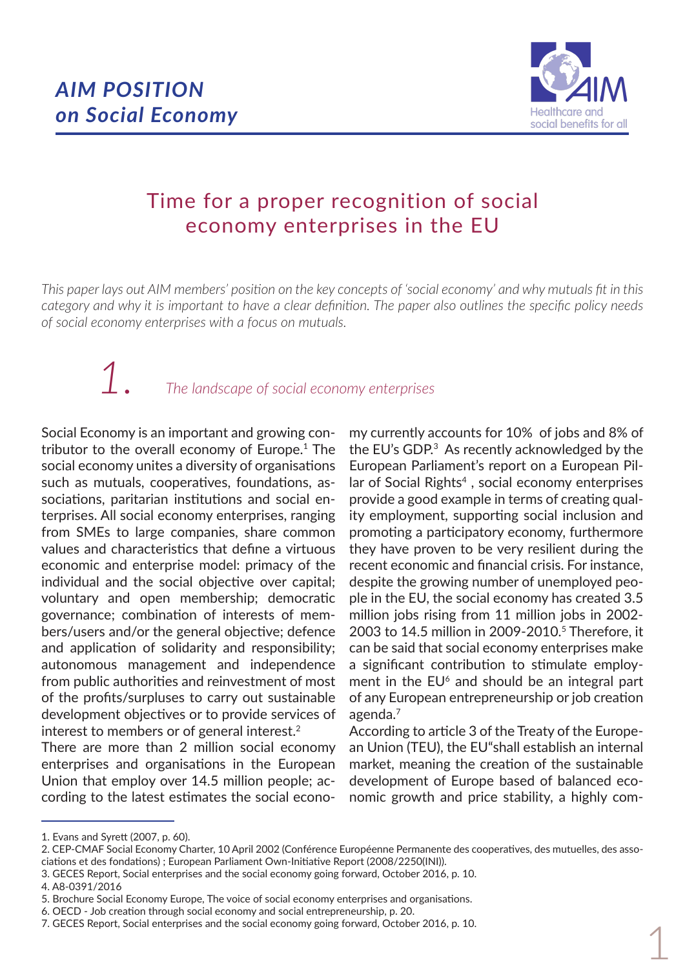

# Time for a proper recognition of social economy enterprises in the EU

*This paper lays out AIM members' position on the key concepts of 'social economy' and why mutuals fit in this category and why it is important to have a clear definition. The paper also outlines the specific policy needs of social economy enterprises with a focus on mutuals.*

## *The landscape of social economy enterprises 1.*

Social Economy is an important and growing contributor to the overall economy of Europe.1 The social economy unites a diversity of organisations such as mutuals, cooperatives, foundations, associations, paritarian institutions and social enterprises. All social economy enterprises, ranging from SMEs to large companies, share common values and characteristics that define a virtuous economic and enterprise model: primacy of the individual and the social objective over capital; voluntary and open membership; democratic governance; combination of interests of members/users and/or the general objective; defence and application of solidarity and responsibility; autonomous management and independence from public authorities and reinvestment of most of the profits/surpluses to carry out sustainable development objectives or to provide services of interest to members or of general interest.<sup>2</sup>

There are more than 2 million social economy enterprises and organisations in the European Union that employ over 14.5 million people; according to the latest estimates the social econo-

my currently accounts for 10% of jobs and 8% of the EU's GDP.3 As recently acknowledged by the European Parliament's report on a European Pillar of Social Rights $4$ , social economy enterprises provide a good example in terms of creating quality employment, supporting social inclusion and promoting a participatory economy, furthermore they have proven to be very resilient during the recent economic and financial crisis. For instance, despite the growing number of unemployed people in the EU, the social economy has created 3.5 million jobs rising from 11 million jobs in 2002-2003 to 14.5 million in 2009-2010.<sup>5</sup> Therefore, it can be said that social economy enterprises make a significant contribution to stimulate employment in the  $EU^6$  and should be an integral part of any European entrepreneurship or job creation agenda.7

According to article 3 of the Treaty of the European Union (TEU), the EU"shall establish an internal market, meaning the creation of the sustainable development of Europe based of balanced economic growth and price stability, a highly com-

1

<sup>1.</sup> Evans and Syrett (2007, p. 60).

<sup>2.</sup> CEP-CMAF Social Economy Charter, 10 April 2002 (Conférence Européenne Permanente des cooperatives, des mutuelles, des associations et des fondations) ; European Parliament Own-Initiative Report (2008/2250(INI)).

<sup>3.</sup> GECES Report, Social enterprises and the social economy going forward, October 2016, p. 10.

<sup>4.</sup> A8-0391/2016

<sup>5.</sup> Brochure Social Economy Europe, The voice of social economy enterprises and organisations.

<sup>6.</sup> OECD - Job creation through social economy and social entrepreneurship, p. 20.

<sup>7.</sup> GECES Report, Social enterprises and the social economy going forward, October 2016, p. 10.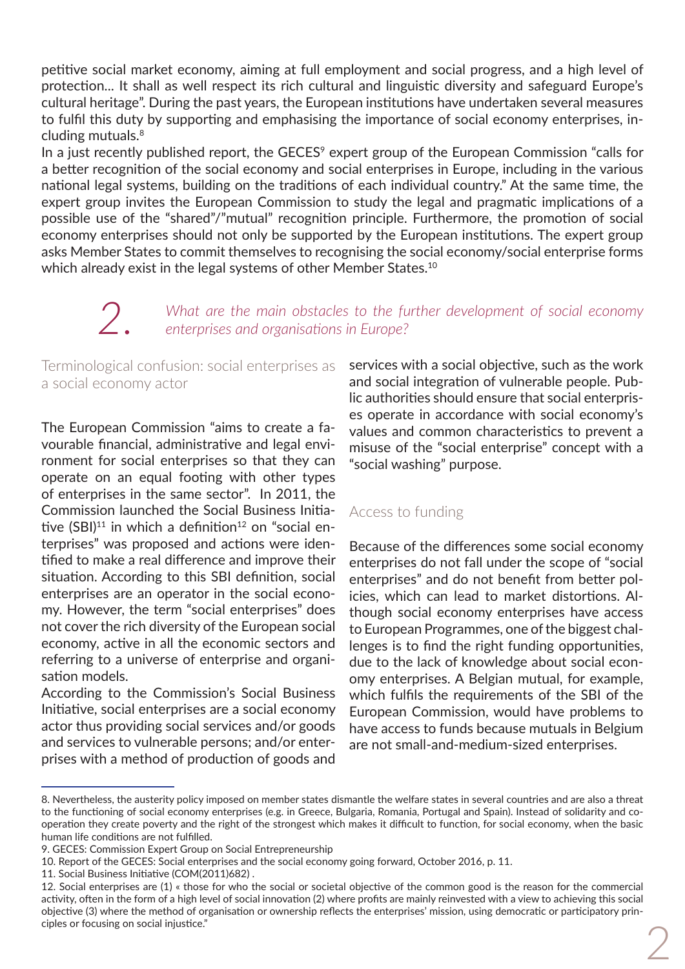petitive social market economy, aiming at full employment and social progress, and a high level of protection... It shall as well respect its rich cultural and linguistic diversity and safeguard Europe's cultural heritage". During the past years, the European institutions have undertaken several measures to fulfil this duty by supporting and emphasising the importance of social economy enterprises, including mutuals.<sup>8</sup>

In a just recently published report, the GECES<sup>9</sup> expert group of the European Commission "calls for a better recognition of the social economy and social enterprises in Europe, including in the various national legal systems, building on the traditions of each individual country." At the same time, the expert group invites the European Commission to study the legal and pragmatic implications of a possible use of the "shared"/"mutual" recognition principle. Furthermore, the promotion of social economy enterprises should not only be supported by the European institutions. The expert group asks Member States to commit themselves to recognising the social economy/social enterprise forms which already exist in the legal systems of other Member States.<sup>10</sup>

*What are the main obstacles to the further development of social economy enterprises and organisations in Europe?* 

Terminological confusion: social enterprises as a social economy actor

The European Commission "aims to create a favourable financial, administrative and legal environment for social enterprises so that they can operate on an equal footing with other types of enterprises in the same sector". In 2011, the Commission launched the Social Business Initiative  $(SBI)^{11}$  in which a definition<sup>12</sup> on "social enterprises" was proposed and actions were identified to make a real difference and improve their situation. According to this SBI definition, social enterprises are an operator in the social economy. However, the term "social enterprises" does not cover the rich diversity of the European social economy, active in all the economic sectors and referring to a universe of enterprise and organisation models.

According to the Commission's Social Business Initiative, social enterprises are a social economy actor thus providing social services and/or goods and services to vulnerable persons; and/or enterprises with a method of production of goods and

services with a social objective, such as the work and social integration of vulnerable people. Public authorities should ensure that social enterprises operate in accordance with social economy's values and common characteristics to prevent a misuse of the "social enterprise" concept with a "social washing" purpose.

### Access to funding

Because of the differences some social economy enterprises do not fall under the scope of "social enterprises" and do not benefit from better policies, which can lead to market distortions. Although social economy enterprises have access to European Programmes, one of the biggest challenges is to find the right funding opportunities, due to the lack of knowledge about social economy enterprises. A Belgian mutual, for example, which fulfils the requirements of the SBI of the European Commission, would have problems to have access to funds because mutuals in Belgium are not small-and-medium-sized enterprises.

<sup>8.</sup> Nevertheless, the austerity policy imposed on member states dismantle the welfare states in several countries and are also a threat to the functioning of social economy enterprises (e.g. in Greece, Bulgaria, Romania, Portugal and Spain). Instead of solidarity and cooperation they create poverty and the right of the strongest which makes it difficult to function, for social economy, when the basic human life conditions are not fulfilled.

<sup>9.</sup> GECES: Commission Expert Group on Social Entrepreneurship

<sup>10.</sup> Report of the GECES: Social enterprises and the social economy going forward, October 2016, p. 11.

<sup>11.</sup> Social Business Initiative (COM(2011)682) .

<sup>12.</sup> Social enterprises are (1) « those for who the social or societal objective of the common good is the reason for the commercial activity, often in the form of a high level of social innovation (2) where profits are mainly reinvested with a view to achieving this social objective (3) where the method of organisation or ownership reflects the enterprises' mission, using democratic or participatory principles or focusing on social injustice."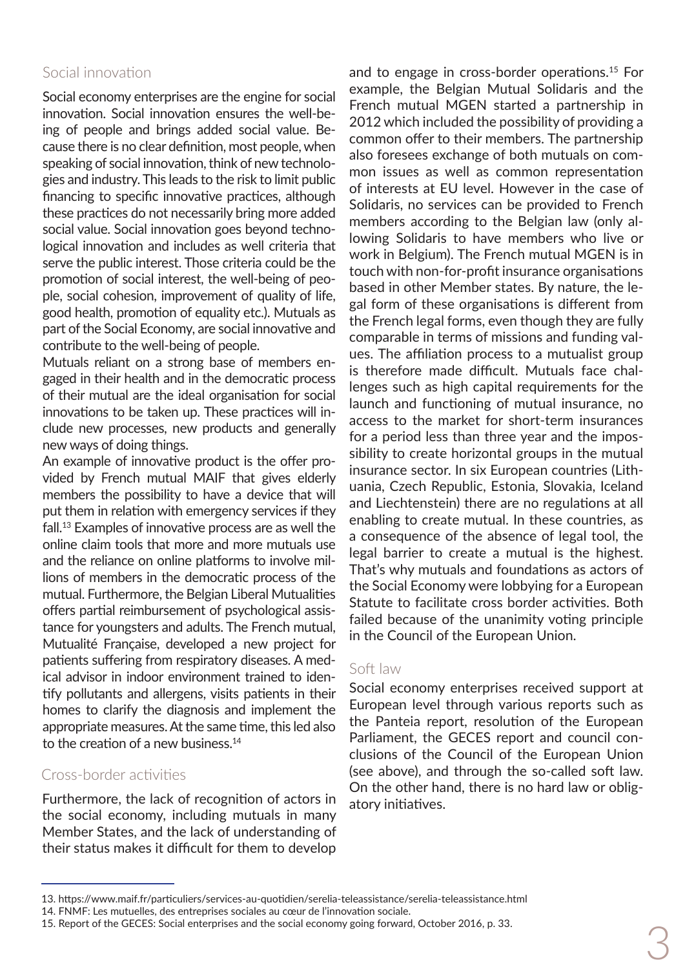### Social innovation

Social economy enterprises are the engine for social innovation. Social innovation ensures the well-being of people and brings added social value. Because there is no clear definition, most people, when speaking of social innovation, think of new technologies and industry. This leads to the risk to limit public financing to specific innovative practices, although these practices do not necessarily bring more added social value. Social innovation goes beyond technological innovation and includes as well criteria that serve the public interest. Those criteria could be the promotion of social interest, the well-being of people, social cohesion, improvement of quality of life, good health, promotion of equality etc.). Mutuals as part of the Social Economy, are social innovative and contribute to the well-being of people.

Mutuals reliant on a strong base of members engaged in their health and in the democratic process of their mutual are the ideal organisation for social innovations to be taken up. These practices will include new processes, new products and generally new ways of doing things.

An example of innovative product is the offer provided by French mutual MAIF that gives elderly members the possibility to have a device that will put them in relation with emergency services if they fall.13 Examples of innovative process are as well the online claim tools that more and more mutuals use and the reliance on online platforms to involve millions of members in the democratic process of the mutual. Furthermore, the Belgian Liberal Mutualities offers partial reimbursement of psychological assistance for youngsters and adults. The French mutual, Mutualité Française, developed a new project for patients suffering from respiratory diseases. A medical advisor in indoor environment trained to identify pollutants and allergens, visits patients in their homes to clarify the diagnosis and implement the appropriate measures. At the same time, this led also to the creation of a new business.<sup>14</sup>

#### Cross-border activities

Furthermore, the lack of recognition of actors in the social economy, including mutuals in many Member States, and the lack of understanding of their status makes it difficult for them to develop

and to engage in cross-border operations.15 For example, the Belgian Mutual Solidaris and the French mutual MGEN started a partnership in 2012 which included the possibility of providing a common offer to their members. The partnership also foresees exchange of both mutuals on common issues as well as common representation of interests at EU level. However in the case of Solidaris, no services can be provided to French members according to the Belgian law (only allowing Solidaris to have members who live or work in Belgium). The French mutual MGEN is in touch with non-for-profit insurance organisations based in other Member states. By nature, the legal form of these organisations is different from the French legal forms, even though they are fully comparable in terms of missions and funding values. The affiliation process to a mutualist group is therefore made difficult. Mutuals face challenges such as high capital requirements for the launch and functioning of mutual insurance, no access to the market for short-term insurances for a period less than three year and the impossibility to create horizontal groups in the mutual insurance sector. In six European countries (Lithuania, Czech Republic, Estonia, Slovakia, Iceland and Liechtenstein) there are no regulations at all enabling to create mutual. In these countries, as a consequence of the absence of legal tool, the legal barrier to create a mutual is the highest. That's why mutuals and foundations as actors of the Social Economy were lobbying for a European Statute to facilitate cross border activities. Both failed because of the unanimity voting principle in the Council of the European Union.

#### Soft law

Social economy enterprises received support at European level through various reports such as the Panteia report, resolution of the European Parliament, the GECES report and council conclusions of the Council of the European Union (see above), and through the so-called soft law. On the other hand, there is no hard law or obligatory initiatives.

<sup>13.</sup> https://www.maif.fr/particuliers/services-au-quotidien/serelia-teleassistance/serelia-teleassistance.html

<sup>14.</sup> FNMF: Les mutuelles, des entreprises sociales au cœur de l'innovation sociale.

<sup>15.</sup> Report of the GECES: Social enterprises and the social economy going forward, October 2016, p. 33.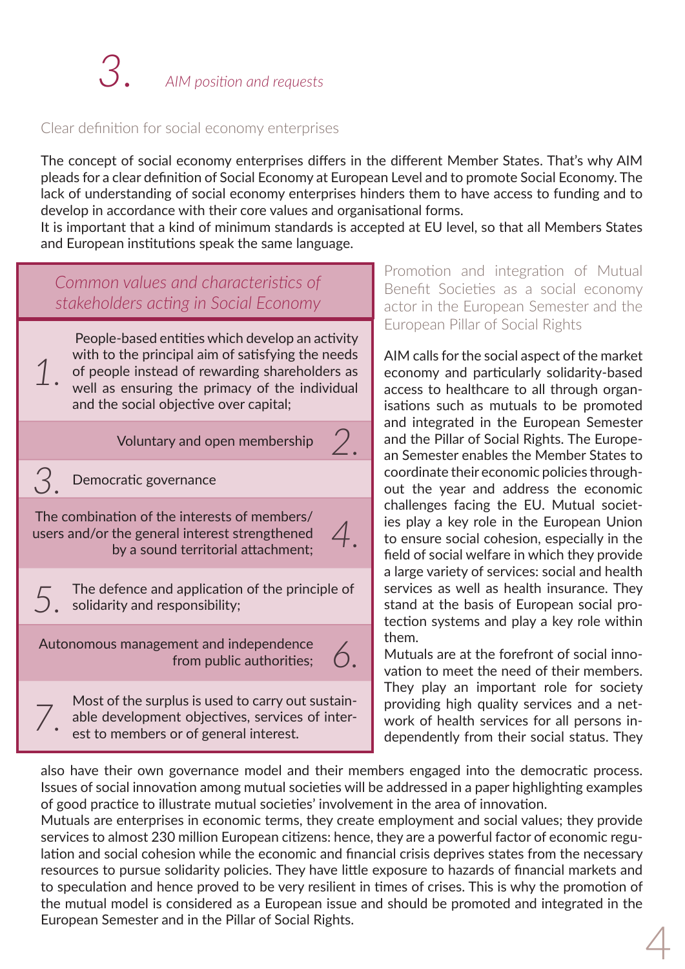#### Clear definition for social economy enterprises

The concept of social economy enterprises differs in the different Member States. That's why AIM pleads for a clear definition of Social Economy at European Level and to promote Social Economy. The lack of understanding of social economy enterprises hinders them to have access to funding and to develop in accordance with their core values and organisational forms.

It is important that a kind of minimum standards is accepted at EU level, so that all Members States and European institutions speak the same language.

*2*.

*4*.

*Common values and characteristics of stakeholders acting in Social Economy*

 People-based entities which develop an activity with to the principal aim of satisfying the needs of people instead of rewarding shareholders as well as ensuring the primacy of the individual and the social objective over capital;

Voluntary and open membership

Democratic governance

*1*.

*3*.

*7*.

The combination of the interests of members/ users and/or the general interest strengthened by a sound territorial attachment;

The defence and application of the principle of solidarity and responsibility; *5*.

Autonomous management and independence from public authorities; *6*.

Most of the surplus is used to carry out sustainable development objectives, services of interest to members or of general interest.

Promotion and integration of Mutual Benefit Societies as a social economy actor in the European Semester and the European Pillar of Social Rights

AIM calls for the social aspect of the market economy and particularly solidarity-based access to healthcare to all through organisations such as mutuals to be promoted and integrated in the European Semester and the Pillar of Social Rights. The European Semester enables the Member States to coordinate their economic policies throughout the year and address the economic challenges facing the EU. Mutual societies play a key role in the European Union to ensure social cohesion, especially in the field of social welfare in which they provide a large variety of services: social and health services as well as health insurance. They stand at the basis of European social protection systems and play a key role within them.

Mutuals are at the forefront of social innovation to meet the need of their members. They play an important role for society providing high quality services and a network of health services for all persons independently from their social status. They

also have their own governance model and their members engaged into the democratic process. Issues of social innovation among mutual societies will be addressed in a paper highlighting examples of good practice to illustrate mutual societies' involvement in the area of innovation.

4 Mutuals are enterprises in economic terms, they create employment and social values; they provide services to almost 230 million European citizens: hence, they are a powerful factor of economic regulation and social cohesion while the economic and financial crisis deprives states from the necessary resources to pursue solidarity policies. They have little exposure to hazards of financial markets and to speculation and hence proved to be very resilient in times of crises. This is why the promotion of the mutual model is considered as a European issue and should be promoted and integrated in the European Semester and in the Pillar of Social Rights.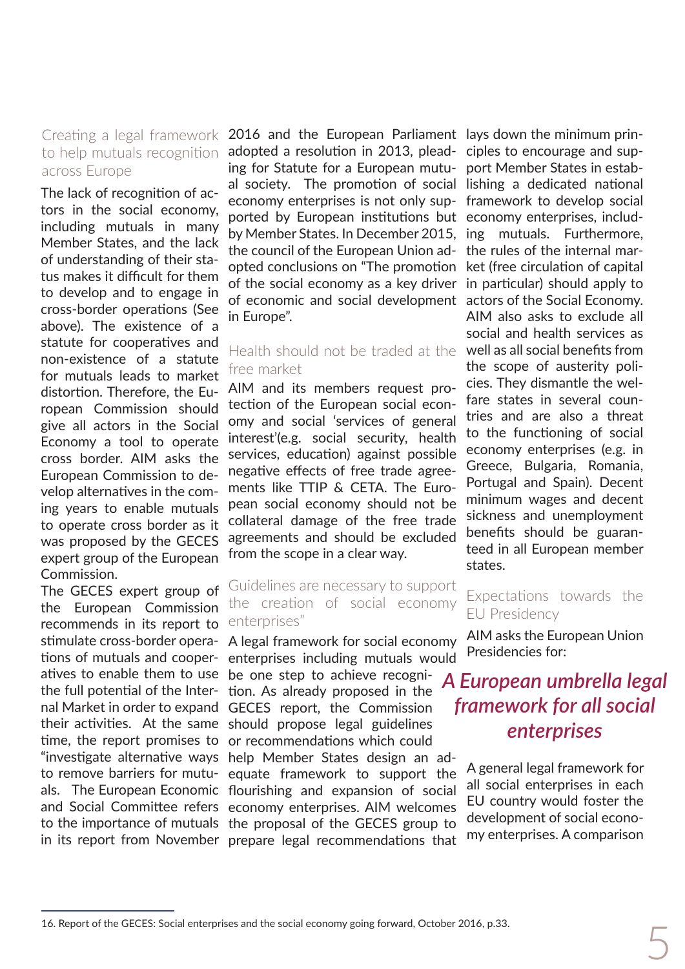#### Creating a legal framework to help mutuals recognition across Europe

The lack of recognition of actors in the social economy, including mutuals in many Member States, and the lack of understanding of their status makes it difficult for them to develop and to engage in cross-border operations (See above). The existence of a statute for cooperatives and non-existence of a statute for mutuals leads to market distortion. Therefore, the European Commission should give all actors in the Social Economy a tool to operate cross border. AIM asks the European Commission to develop alternatives in the coming years to enable mutuals to operate cross border as it was proposed by the GECES expert group of the European Commission.

The GECES expert group of the European Commission recommends in its report to atives to enable them to use be one step to achieve recogni-"investigate alternative ways help Member States design an ad-

2016 and the European Parliament lays down the minimum prinadopted a resolution in 2013, plead-ciples to encourage and suping for Statute for a European mutu-port Member States in estabal society. The promotion of social lishing a dedicated national economy enterprises is not only sup-framework to develop social ported by European institutions but economy enterprises, includby Member States. In December 2015, ing mutuals. Furthermore, the council of the European Union ad-the rules of the internal maropted conclusions on "The promotion ket (free circulation of capital of the social economy as a key driver in particular) should apply to of economic and social development actors of the Social Economy. in Europe".

#### Health should not be traded at the free market

AIM and its members request protection of the European social economy and social 'services of general interest'(e.g. social security, health services, education) against possible negative effects of free trade agreements like TTIP & CETA. The European social economy should not be collateral damage of the free trade agreements and should be excluded from the scope in a clear way.

#### Guidelines are necessary to support the creation of social economy enterprises"

stimulate cross-border opera-A legal framework for social economy tions of mutuals and cooper-enterprises including mutuals would

the full potential of the Inter-tion. As already proposed in the nal Market in order to expand GECES report, the Commission their activities. At the same should propose legal guidelines time, the report promises to or recommendations which could

to remove barriers for mutu-equate framework to support the als. The European Economic flourishing and expansion of social and Social Committee refers economy enterprises. AIM welcomes to the importance of mutuals the proposal of the GECES group to in its report from November prepare legal recommendations that

AIM also asks to exclude all social and health services as well as all social benefits from the scope of austerity policies. They dismantle the welfare states in several countries and are also a threat to the functioning of social economy enterprises (e.g. in Greece, Bulgaria, Romania, Portugal and Spain). Decent minimum wages and decent sickness and unemployment benefits should be guaranteed in all European member states.

#### Expectations towards the EU Presidency

AIM asks the European Union Presidencies for:

## *A European umbrella legal framework for all social enterprises*

A general legal framework for all social enterprises in each EU country would foster the development of social economy enterprises. A comparison

<sup>5</sup> 16. Report of the GECES: Social enterprises and the social economy going forward, October 2016, p.33.